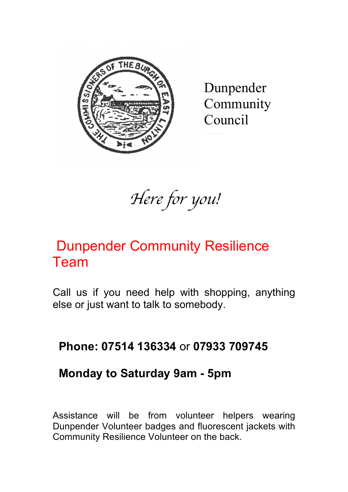

Dunpender Community Council

www.com

*Here for you!*

# Dunpender Community Resilience Team

Call us if you need help with shopping, anything else or just want to talk to somebody.

## **Phone: 07514 136334** or **07933 709745**

### **Monday to Saturday 9am - 5pm**

Assistance will be from volunteer helpers wearing Dunpender Volunteer badges and fluorescent jackets with Community Resilience Volunteer on the back.